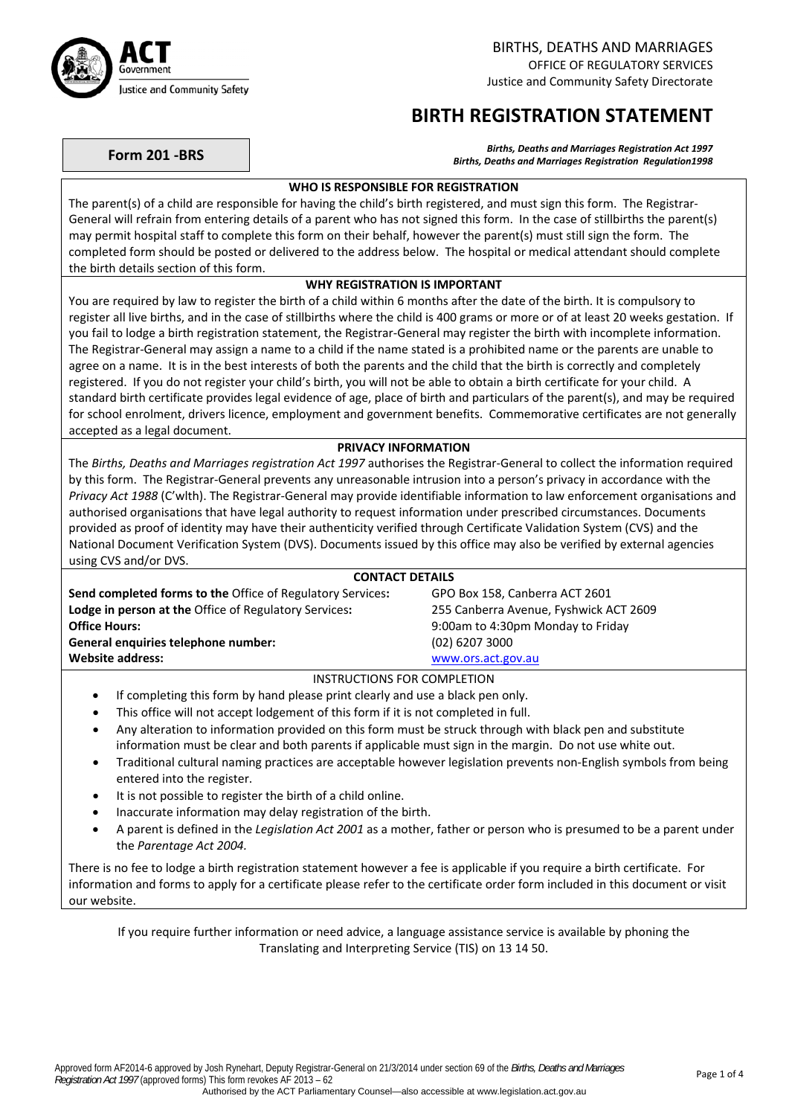

# **BIRTH REGISTRATION STATEMENT**

**Form 201 ‐BRS** *Births, Deaths and Marriages Registration Act <sup>1997</sup> Births, Deaths and Marriages Registration Regulation1998*

## **WHO IS RESPONSIBLE FOR REGISTRATION**

The parent(s) of a child are responsible for having the child's birth registered, and must sign this form. The Registrar‐ General will refrain from entering details of a parent who has not signed this form. In the case of stillbirths the parent(s) may permit hospital staff to complete this form on their behalf, however the parent(s) must still sign the form. The completed form should be posted or delivered to the address below. The hospital or medical attendant should complete the birth details section of this form.

## **WHY REGISTRATION IS IMPORTANT**

You are required by law to register the birth of a child within 6 months after the date of the birth. It is compulsory to register all live births, and in the case of stillbirths where the child is 400 grams or more or of at least 20 weeks gestation. If you fail to lodge a birth registration statement, the Registrar‐General may register the birth with incomplete information. The Registrar‐General may assign a name to a child if the name stated is a prohibited name or the parents are unable to agree on a name. It is in the best interests of both the parents and the child that the birth is correctly and completely registered. If you do not register your child's birth, you will not be able to obtain a birth certificate for your child. A standard birth certificate provides legal evidence of age, place of birth and particulars of the parent(s), and may be required for school enrolment, drivers licence, employment and government benefits. Commemorative certificates are not generally accepted as a legal document.

## **PRIVACY INFORMATION**

The *Births, Deaths and Marriages registration Act 1997* authorises the Registrar‐General to collect the information required by this form. The Registrar‐General prevents any unreasonable intrusion into a person's privacy in accordance with the *Privacy Act 1988* (C'wlth). The Registrar‐General may provide identifiable information to law enforcement organisations and authorised organisations that have legal authority to request information under prescribed circumstances. Documents provided as proof of identity may have their authenticity verified through Certificate Validation System (CVS) and the National Document Verification System (DVS). Documents issued by this office may also be verified by external agencies using CVS and/or DVS.

### **CONTACT DETAILS**

**Send completed forms to the** Office of Regulatory Services**:** GPO Box 158, Canberra ACT 2601 **Lodge in person at the** Office of Regulatory Services**:** 255 Canberra Avenue, Fyshwick ACT 2609 **Office Hours:** 9:00am to 4:30pm Monday to Friday **General enquiries telephone number:** (02) 6207 3000 **Website address:** [www.ors.act.gov.au](http://www.ors.act.gov.au/)

## INSTRUCTIONS FOR COMPLETION

- If completing this form by hand please print clearly and use a black pen only.
- This office will not accept lodgement of this form if it is not completed in full.
- Any alteration to information provided on this form must be struck through with black pen and substitute information must be clear and both parents if applicable must sign in the margin. Do not use white out.
- Traditional cultural naming practices are acceptable however legislation prevents non‐English symbols from being entered into the register.
- It is not possible to register the birth of a child online.
- Inaccurate information may delay registration of the birth.
- A parent is defined in the *Legislation Act 2001* as a mother, father or person who is presumed to be a parent under the *Parentage Act 2004.*

There is no fee to lodge a birth registration statement however a fee is applicable if you require a birth certificate. For information and forms to apply for a certificate please refer to the certificate order form included in this document or visit our website.

If you require further information or need advice, a language assistance service is available by phoning the Translating and Interpreting Service (TIS) on 13 14 50.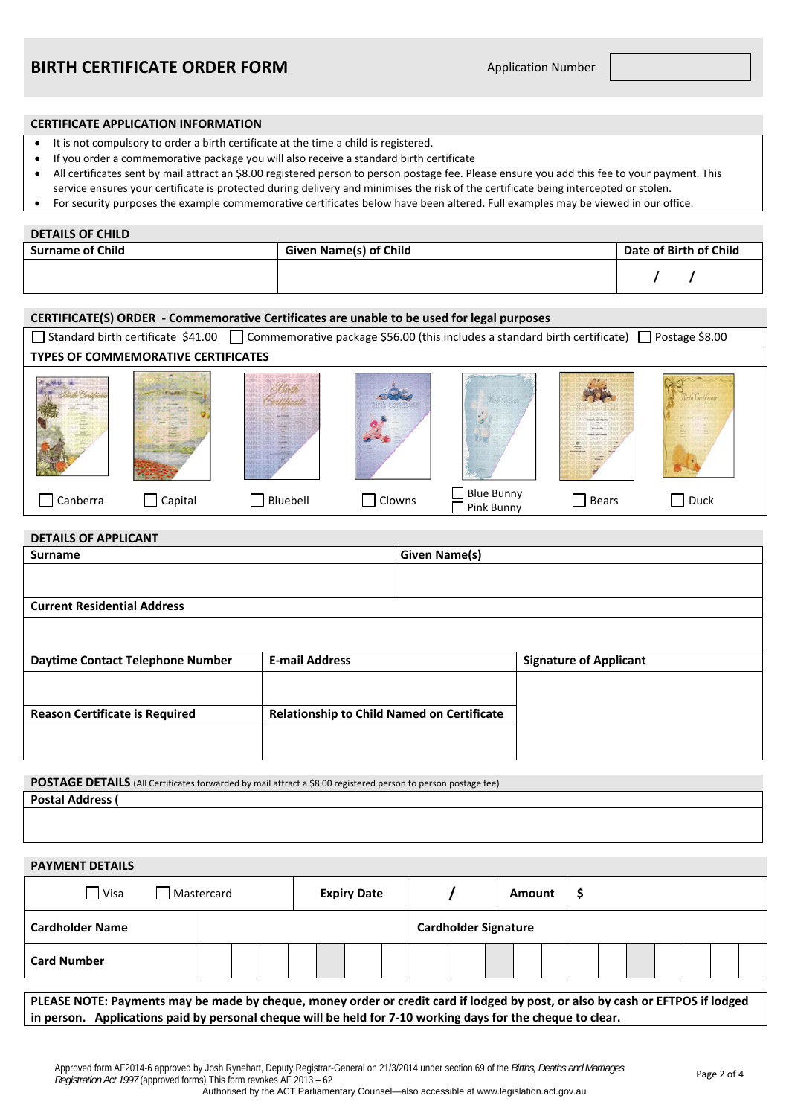#### **CERTIFICATE APPLICATION INFORMATION**

- It is not compulsory to order a birth certificate at the time a child is registered.
- If you order a commemorative package you will also receive a standard birth certificate
- All certificates sent by mail attract an \$8.00 registered person to person postage fee. Please ensure you add this fee to your payment. This
- service ensures your certificate is protected during delivery and minimises the risk of the certificate being intercepted or stolen.
- For security purposes the example commemorative certificates below have been altered. Full examples may be viewed in our office.

#### **DETAILS OF CHILD**

**DETAILS OF APPLICANT**

| <b>Surname of Child</b> | <b>Given Name(s) of Child</b> | Date of Birth of Child |  |  |  |
|-------------------------|-------------------------------|------------------------|--|--|--|
|                         |                               |                        |  |  |  |

#### **CERTIFICATE(S) ORDER ‐ Commemorative Certificates are unable to be used for legal purposes**

| Standard birth certificate \$41.00<br>Commemorative package \$56.00 (this includes a standard birth certificate) [<br>Postage \$8.00 |         |          |        |                          |       |             |  |  |  |
|--------------------------------------------------------------------------------------------------------------------------------------|---------|----------|--------|--------------------------|-------|-------------|--|--|--|
| TYPES OF COMMEMORATIVE CERTIFICATES                                                                                                  |         |          |        |                          |       |             |  |  |  |
|                                                                                                                                      |         |          |        |                          |       |             |  |  |  |
| Canberra                                                                                                                             | Capital | Bluebell | Clowns | Blue Bunny<br>Pink Bunny | Bears | $\Box$ Duck |  |  |  |

| <b>DETAILS OF AFFLICANT</b>           |                                                   |                      |                               |  |  |  |  |
|---------------------------------------|---------------------------------------------------|----------------------|-------------------------------|--|--|--|--|
| <b>Surname</b>                        |                                                   | <b>Given Name(s)</b> |                               |  |  |  |  |
|                                       |                                                   |                      |                               |  |  |  |  |
|                                       |                                                   |                      |                               |  |  |  |  |
| <b>Current Residential Address</b>    |                                                   |                      |                               |  |  |  |  |
|                                       |                                                   |                      |                               |  |  |  |  |
|                                       |                                                   |                      |                               |  |  |  |  |
| Daytime Contact Telephone Number      | <b>E-mail Address</b>                             |                      | <b>Signature of Applicant</b> |  |  |  |  |
|                                       |                                                   |                      |                               |  |  |  |  |
|                                       |                                                   |                      |                               |  |  |  |  |
| <b>Reason Certificate is Required</b> | <b>Relationship to Child Named on Certificate</b> |                      |                               |  |  |  |  |
|                                       |                                                   |                      |                               |  |  |  |  |
|                                       |                                                   |                      |                               |  |  |  |  |

**POSTAGE DETAILS** (All Certificates forwarded by mail attract a \$8.00 registered person to person postage fee) **Postal Address (**

**PAYMENT DETAILS**

| Visa                   | <b>Expiry Date</b><br>Mastercard |  |  |  |  |                             |  | Amount | Ŧ |  |  |  |  |  |  |
|------------------------|----------------------------------|--|--|--|--|-----------------------------|--|--------|---|--|--|--|--|--|--|
| <b>Cardholder Name</b> |                                  |  |  |  |  | <b>Cardholder Signature</b> |  |        |   |  |  |  |  |  |  |
| <b>Card Number</b>     |                                  |  |  |  |  |                             |  |        |   |  |  |  |  |  |  |

PLEASE NOTE: Payments may be made by cheque, money order or credit card if lodged by post, or also by cash or EFTPOS if lodged in person. Applications paid by personal cheque will be held for 7-10 working days for the cheque to clear.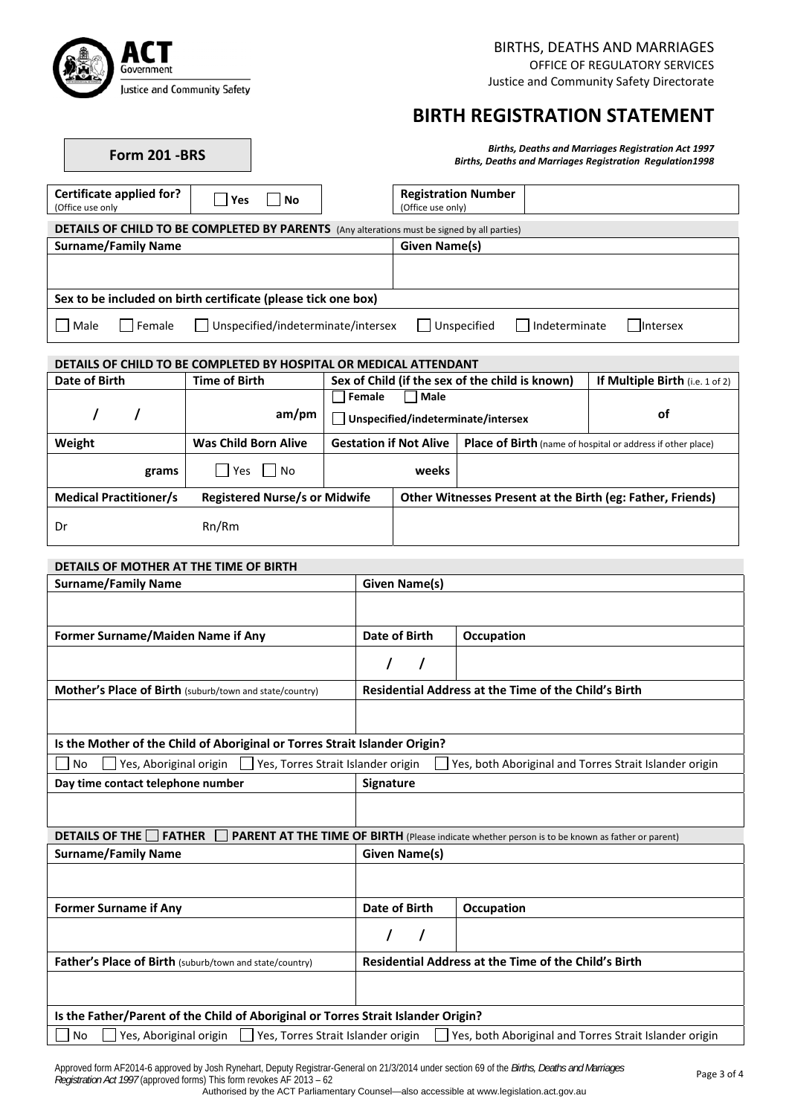

**Form 201 ‐BRS** *Births, Deaths and Marriages Registration Act <sup>1997</sup>*

# **BIRTH REGISTRATION STATEMENT**

| <b>Births, Deaths and Marriages Registration Act 1997</b>       |  |
|-----------------------------------------------------------------|--|
| <b>Births, Deaths and Marriages Registration Regulation1998</b> |  |

| Certificate applied for?<br>Yes<br>No<br>(Office use only                                          | <b>Registration Number</b><br>(Office use only) |
|----------------------------------------------------------------------------------------------------|-------------------------------------------------|
| <b>DETAILS OF CHILD TO BE COMPLETED BY PARENTS</b> (Any alterations must be signed by all parties) |                                                 |
| <b>Surname/Family Name</b>                                                                         | Given Name(s)                                   |
|                                                                                                    |                                                 |
| Sex to be included on birth certificate (please tick one box)                                      |                                                 |
| Unspecified/indeterminate/intersex<br>Male<br>l Female                                             | Unspecified<br>Indeterminate<br><b>Intersex</b> |

### **DETAILS OF CHILD TO BE COMPLETED BY HOSPITAL OR MEDICAL ATTENDANT**

| Date of Birth                 | <b>Time of Birth</b>                 | Sex of Child (if the sex of the child is known)        | If Multiple Birth (i.e. 1 of 2)                             |  |  |
|-------------------------------|--------------------------------------|--------------------------------------------------------|-------------------------------------------------------------|--|--|
|                               | am/pm                                | Female<br>  Male<br>Unspecified/indeterminate/intersex | οf                                                          |  |  |
| Weight                        | <b>Was Child Born Alive</b>          | <b>Gestation if Not Alive</b>                          | Place of Birth (name of hospital or address if other place) |  |  |
| grams                         | <b>Pres</b><br>l No                  | weeks                                                  |                                                             |  |  |
| <b>Medical Practitioner/s</b> | <b>Registered Nurse/s or Midwife</b> |                                                        | Other Witnesses Present at the Birth (eg: Father, Friends)  |  |  |
| Dr                            | Rn/Rm                                |                                                        |                                                             |  |  |

| DETAILS OF MOTHER AT THE TIME OF BIRTH                                            |                                                             |                                                                                                 |  |  |  |  |
|-----------------------------------------------------------------------------------|-------------------------------------------------------------|-------------------------------------------------------------------------------------------------|--|--|--|--|
| <b>Surname/Family Name</b>                                                        | Given Name(s)                                               |                                                                                                 |  |  |  |  |
|                                                                                   |                                                             |                                                                                                 |  |  |  |  |
| Former Surname/Maiden Name if Any                                                 | Date of Birth                                               | Occupation                                                                                      |  |  |  |  |
|                                                                                   | $\prime$<br>$\prime$                                        |                                                                                                 |  |  |  |  |
| Mother's Place of Birth (suburb/town and state/country)                           |                                                             | Residential Address at the Time of the Child's Birth                                            |  |  |  |  |
|                                                                                   |                                                             |                                                                                                 |  |  |  |  |
| Is the Mother of the Child of Aboriginal or Torres Strait Islander Origin?        |                                                             |                                                                                                 |  |  |  |  |
| Yes, Aboriginal origin<br>Yes, Torres Strait Islander origin<br><b>No</b>         |                                                             | Yes, both Aboriginal and Torres Strait Islander origin                                          |  |  |  |  |
| Day time contact telephone number                                                 | Signature                                                   |                                                                                                 |  |  |  |  |
|                                                                                   |                                                             |                                                                                                 |  |  |  |  |
| <b>DETAILS OF THE</b><br><b>FATHER</b>                                            |                                                             | PARENT AT THE TIME OF BIRTH (Please indicate whether person is to be known as father or parent) |  |  |  |  |
| <b>Surname/Family Name</b>                                                        | <b>Given Name(s)</b>                                        |                                                                                                 |  |  |  |  |
|                                                                                   |                                                             |                                                                                                 |  |  |  |  |
| <b>Former Surname if Any</b>                                                      | <b>Date of Birth</b>                                        | Occupation                                                                                      |  |  |  |  |
|                                                                                   | T<br>$\prime$                                               |                                                                                                 |  |  |  |  |
|                                                                                   | <b>Residential Address at the Time of the Child's Birth</b> |                                                                                                 |  |  |  |  |
| Father's Place of Birth (suburb/town and state/country)                           |                                                             |                                                                                                 |  |  |  |  |
|                                                                                   |                                                             |                                                                                                 |  |  |  |  |
| Is the Father/Parent of the Child of Aboriginal or Torres Strait Islander Origin? |                                                             |                                                                                                 |  |  |  |  |